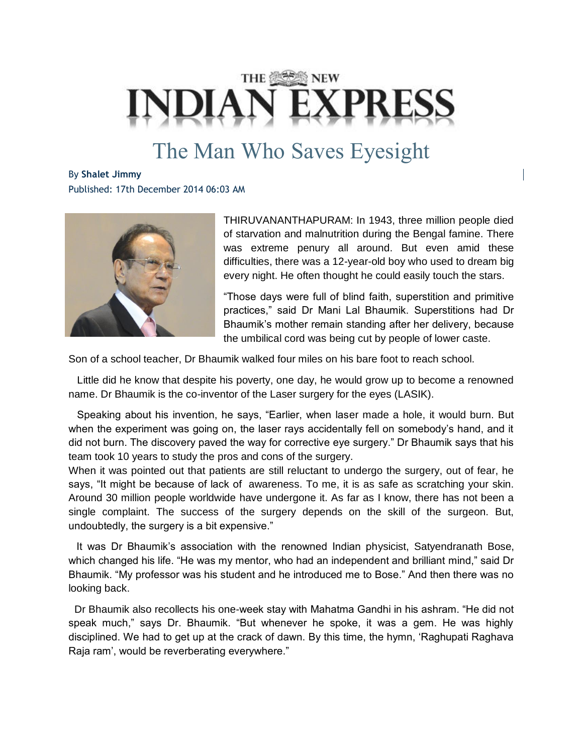## THE **ASSES NEW**

## The Man Who Saves Eyesight

By **Shalet Jimmy** Published: 17th December 2014 06:03 AM



THIRUVANANTHAPURAM: In 1943, three million people died of starvation and malnutrition during the Bengal famine. There was extreme penury all around. But even amid these difficulties, there was a 12-year-old boy who used to dream big every night. He often thought he could easily touch the stars.

"Those days were full of blind faith, superstition and primitive practices," said Dr Mani Lal Bhaumik. Superstitions had Dr Bhaumik's mother remain standing after her delivery, because the umbilical cord was being cut by people of lower caste.

Son of a school teacher, Dr Bhaumik walked four miles on his bare foot to reach school.

 Little did he know that despite his poverty, one day, he would grow up to become a renowned name. Dr Bhaumik is the co-inventor of the Laser surgery for the eyes (LASIK).

 Speaking about his invention, he says, "Earlier, when laser made a hole, it would burn. But when the experiment was going on, the laser rays accidentally fell on somebody's hand, and it did not burn. The discovery paved the way for corrective eye surgery." Dr Bhaumik says that his team took 10 years to study the pros and cons of the surgery.

When it was pointed out that patients are still reluctant to undergo the surgery, out of fear, he says, "It might be because of lack of awareness. To me, it is as safe as scratching your skin. Around 30 million people worldwide have undergone it. As far as I know, there has not been a single complaint. The success of the surgery depends on the skill of the surgeon. But, undoubtedly, the surgery is a bit expensive."

It was Dr Bhaumik's association with the renowned Indian physicist, Satyendranath Bose, which changed his life. "He was my mentor, who had an independent and brilliant mind," said Dr Bhaumik. "My professor was his student and he introduced me to Bose." And then there was no looking back.

Dr Bhaumik also recollects his one-week stay with Mahatma Gandhi in his ashram. "He did not speak much," says Dr. Bhaumik. "But whenever he spoke, it was a gem. He was highly disciplined. We had to get up at the crack of dawn. By this time, the hymn, 'Raghupati Raghava Raja ram', would be reverberating everywhere."